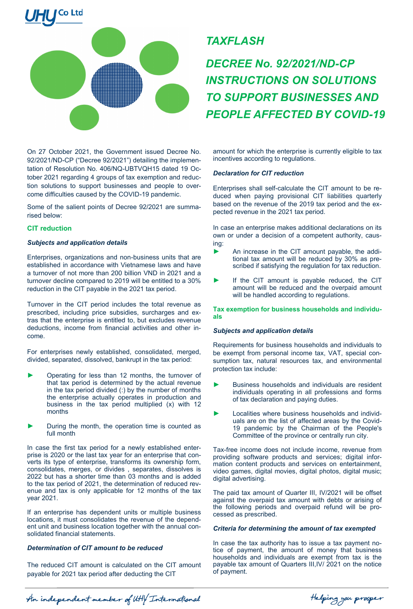

*TAXFLASH*

*DECREE No. 92/2021/ND-CP INSTRUCTIONS ON SOLUTIONS TO SUPPORT BUSINESSES AND PEOPLE AFFECTED BY COVID-19*

On 27 October 2021, the Government issued Decree No. 92/2021/ND-CP ("Decree 92/2021") detailing the implementation of Resolution No. 406/NQ-UBTVQH15 dated 19 October 2021 regarding 4 groups of tax exemption and reduction solutions to support businesses and people to overcome difficulties caused by the COVID-19 pandemic.

Some of the salient points of Decree 92/2021 are summarised below:

# **CIT reduction**

## *Subjects and application details*

Enterprises, organizations and non-business units that are established in accordance with Vietnamese laws and have a turnover of not more than 200 billion VND in 2021 and a turnover decline compared to 2019 will be entitled to a 30% reduction in the CIT payable in the 2021 tax period.

Turnover in the CIT period includes the total revenue as prescribed, including price subsidies, surcharges and extras that the enterprise is entitled to, but excludes revenue deductions, income from financial activities and other income.

For enterprises newly established, consolidated, merged, divided, separated, dissolved, bankrupt in the tax period:

- Operating for less than 12 months, the turnover of that tax period is determined by the actual revenue in the tax period divided (:) by the number of months the enterprise actually operates in production and business in the tax period multiplied (x) with 12 months
- During the month, the operation time is counted as full month

In case the first tax period for a newly established enterprise is 2020 or the last tax year for an enterprise that converts its type of enterprise, transforms its ownership form, consolidates, merges, or divides , separates, dissolves is 2022 but has a shorter time than 03 months and is added to the tax period of 2021, the determination of reduced revenue and tax is only applicable for 12 months of the tax year 2021.

If an enterprise has dependent units or multiple business locations, it must consolidates the revenue of the dependent unit and business location together with the annual consolidated financial statements.

# *Determination of CIT amount to be reduced*

The reduced CIT amount is calculated on the CIT amount payable for 2021 tax period after deducting the CIT

amount for which the enterprise is currently eligible to tax incentives according to regulations.

## *Declaration for CIT reduction*

Enterprises shall self-calculate the CIT amount to be reduced when paying provisional CIT liabilities quarterly based on the revenue of the 2019 tax period and the expected revenue in the 2021 tax period.

In case an enterprise makes additional declarations on its own or under a decision of a competent authority, causing:

- An increase in the CIT amount payable, the additional tax amount will be reduced by 30% as prescribed if satisfying the regulation for tax reduction.
- ► If the CIT amount is payable reduced, the CIT amount will be reduced and the overpaid amount will be handled according to regulations.

**Tax exemption for business households and individuals**

# *Subjects and application details*

Requirements for business households and individuals to be exempt from personal income tax, VAT, special consumption tax, natural resources tax, and environmental protection tax include:

- Business households and individuals are resident individuals operating in all professions and forms of tax declaration and paying duties.
- Localities where business households and individuals are on the list of affected areas by the Covid-19 pandemic by the Chairman of the People's Committee of the province or centrally run city.

Tax-free income does not include income, revenue from providing software products and services; digital information content products and services on entertainment, video games, digital movies, digital photos, digital music; digital advertising.

The paid tax amount of Quarter III, IV/2021 will be offset against the overpaid tax amount with debts or arising of the following periods and overpaid refund will be processed as prescribed.

#### *Criteria for determining the amount of tax exempted*

In case the tax authority has to issue a tax payment notice of payment, the amount of money that business households and individuals are exempt from tax is the payable tax amount of Quarters III,IV/ 2021 on the notice of payment.

An independent member of UHY International

Helping you prosper